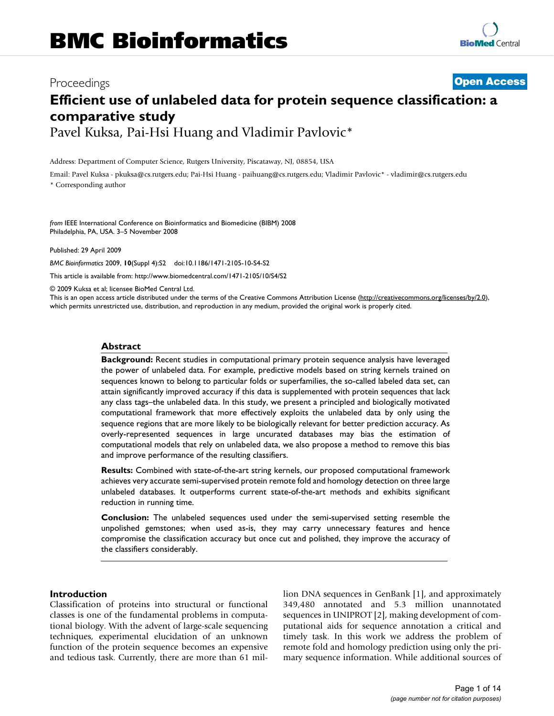# Proceedings **[Open Access](http://www.biomedcentral.com/info/about/charter/) Efficient use of unlabeled data for protein sequence classification: a comparative study** Pavel Kuksa, Pai-Hsi Huang and Vladimir Pavlovic\*

Address: Department of Computer Science, Rutgers University, Piscataway, NJ, 08854, USA

Email: Pavel Kuksa - pkuksa@cs.rutgers.edu; Pai-Hsi Huang - paihuang@cs.rutgers.edu; Vladimir Pavlovic\* - vladimir@cs.rutgers.edu \* Corresponding author

*from* IEEE International Conference on Bioinformatics and Biomedicine (BIBM) 2008 Philadelphia, PA, USA. 3–5 November 2008

Published: 29 April 2009

*BMC Bioinformatics* 2009, **10**(Suppl 4):S2 doi:10.1186/1471-2105-10-S4-S2

[This article is available from: http://www.biomedcentral.com/1471-2105/10/S4/S2](http://www.biomedcentral.com/1471-2105/10/S4/S2)

© 2009 Kuksa et al; licensee BioMed Central Ltd.

This is an open access article distributed under the terms of the Creative Commons Attribution License [\(http://creativecommons.org/licenses/by/2.0\)](http://creativecommons.org/licenses/by/2.0), which permits unrestricted use, distribution, and reproduction in any medium, provided the original work is properly cited.

# **Abstract**

**Background:** Recent studies in computational primary protein sequence analysis have leveraged the power of unlabeled data. For example, predictive models based on string kernels trained on sequences known to belong to particular folds or superfamilies, the so-called labeled data set, can attain significantly improved accuracy if this data is supplemented with protein sequences that lack any class tags–the unlabeled data. In this study, we present a principled and biologically motivated computational framework that more effectively exploits the unlabeled data by only using the sequence regions that are more likely to be biologically relevant for better prediction accuracy. As overly-represented sequences in large uncurated databases may bias the estimation of computational models that rely on unlabeled data, we also propose a method to remove this bias and improve performance of the resulting classifiers.

**Results:** Combined with state-of-the-art string kernels, our proposed computational framework achieves very accurate semi-supervised protein remote fold and homology detection on three large unlabeled databases. It outperforms current state-of-the-art methods and exhibits significant reduction in running time.

**Conclusion:** The unlabeled sequences used under the semi-supervised setting resemble the unpolished gemstones; when used as-is, they may carry unnecessary features and hence compromise the classification accuracy but once cut and polished, they improve the accuracy of the classifiers considerably.

# **Introduction**

Classification of proteins into structural or functional classes is one of the fundamental problems in computational biology. With the advent of large-scale sequencing techniques, experimental elucidation of an unknown function of the protein sequence becomes an expensive and tedious task. Currently, there are more than 61 million DNA sequences in GenBank [1], and approximately 349,480 annotated and 5.3 million unannotated sequences in UNIPROT [2], making development of computational aids for sequence annotation a critical and timely task. In this work we address the problem of remote fold and homology prediction using only the primary sequence information. While additional sources of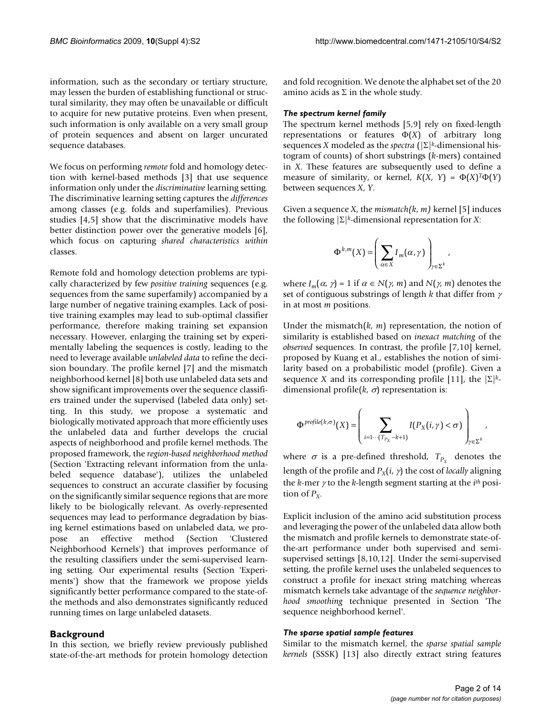information, such as the secondary or tertiary structure, may lessen the burden of establishing functional or structural similarity, they may often be unavailable or difficult to acquire for new putative proteins. Even when present, such information is only available on a very small group of protein sequences and absent on larger uncurated sequence databases.

We focus on performing *remote* fold and homology detection with kernel-based methods [3] that use sequence information only under the *discriminative* learning setting. The discriminative learning setting captures the *differences* among classes (e.g. folds and superfamilies). Previous studies [4,5] show that the discriminative models have better distinction power over the generative models [6], which focus on capturing *shared characteristics within* classes.

Remote fold and homology detection problems are typically characterized by few *positive training* sequences (e.g. sequences from the same superfamily) accompanied by a large number of negative training examples. Lack of positive training examples may lead to sub-optimal classifier performance, therefore making training set expansion necessary. However, enlarging the training set by experimentally labeling the sequences is costly, leading to the need to leverage available *unlabeled data* to refine the decision boundary. The profile kernel [7] and the mismatch neighborhood kernel [8] both use unlabeled data sets and show significant improvements over the sequence classifiers trained under the supervised (labeled data only) setting. In this study, we propose a systematic and biologically motivated approach that more efficiently uses the unlabeled data and further develops the crucial aspects of neighborhood and profile kernel methods. The proposed framework, the *region-based neighborhood method* (Section 'Extracting relevant information from the unlabeled sequence database'), utilizes the unlabeled sequences to construct an accurate classifier by focusing on the significantly similar sequence regions that are more likely to be biologically relevant. As overly-represented sequences may lead to performance degradation by biasing kernel estimations based on unlabeled data, we propose an effective method (Section 'Clustered Neighborhood Kernels') that improves performance of the resulting classifiers under the semi-supervised learning setting. Our experimental results (Section 'Experiments') show that the framework we propose yields significantly better performance compared to the state-ofthe methods and also demonstrates significantly reduced running times on large unlabeled datasets.

#### **Background**

In this section, we briefly review previously published state-of-the-art methods for protein homology detection

and fold recognition. We denote the alphabet set of the 20 amino acids as  $\Sigma$  in the whole study.

## *The spectrum kernel family*

The spectrum kernel methods [5,9] rely on fixed-length representations or features Φ(*X*) of arbitrary long sequences *X* modeled as the *spectra* (|Σ|*k*-dimensional histogram of counts) of short substrings (*k*-mers) contained in *X*. These features are subsequently used to define a measure of similarity, or kernel,  $K(X, Y) = \Phi(X)^\text{T} \Phi(Y)$ between sequences *X*, *Y*.

Given a sequence *X*, the *mismatch(k*, *m)* kernel [5] induces the following |Σ|*<sup>k</sup>*-dimensional representation for *X*:

$$
\Phi^{k,m}(X) = \left(\sum_{\alpha \in X} I_m(\alpha, \gamma)\right)_{\gamma \in \Sigma^k},
$$

where  $I_m(\alpha, \gamma) = 1$  if  $\alpha \in N(\gamma, m)$  and  $N(\gamma, m)$  denotes the set of contiguous substrings of length *k* that differ from <sup>γ</sup> in at most *m* positions.

Under the mismatch(*k*, *m*) representation, the notion of similarity is established based on *inexact matching* of the *observed* sequences. In contrast, the profile [7,10] kernel, proposed by Kuang et al., establishes the notion of similarity based on a probabilistic model (profile). Given a sequence *X* and its corresponding profile [11], the  $|\Sigma|^{k}$ dimensional profile( $k$ ,  $\sigma$ ) representation is:

$$
\Phi^{profile(k,\sigma)}(X) = \left(\sum_{i=1\cdots (T_{P_X}-k+1)} I(P_X(i,\gamma) < \sigma)\right)_{\gamma \in \Sigma^k},
$$

where  $\sigma$  is a pre-defined threshold,  $T_{P_X}$  denotes the length of the profile and  $P_X(i, \gamma)$  the cost of *locally* aligning the *k*-mer <sup>γ</sup> to the *k*-length segment starting at the *ith* position of  $P_X$ .

Explicit inclusion of the amino acid substitution process and leveraging the power of the unlabeled data allow both the mismatch and profile kernels to demonstrate state-ofthe-art performance under both supervised and semisupervised settings [8,10,12]. Under the semi-supervised setting, the profile kernel uses the unlabeled sequences to construct a profile for inexact string matching whereas mismatch kernels take advantage of the *sequence neighborhood smoothing* technique presented in Section 'The sequence neighborhood kernel'.

#### *The sparse spatial sample features*

Similar to the mismatch kernel, the *sparse spatial sample kernels* (SSSK) [13] also directly extract string features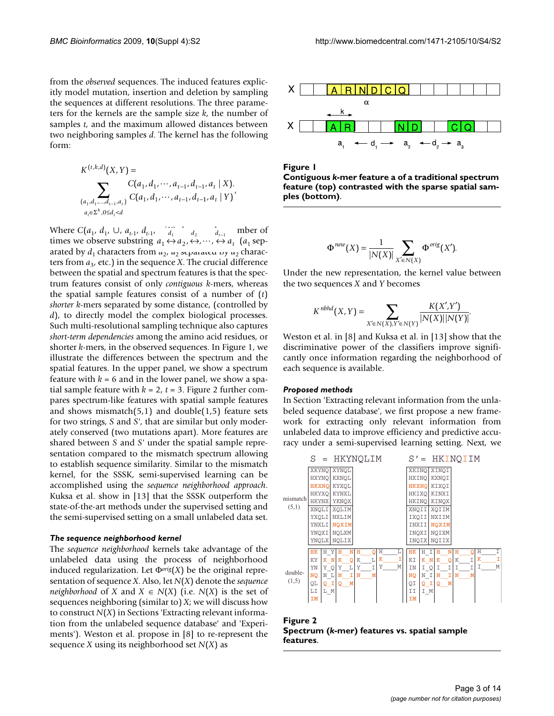*tkd*

from the *observed* sequences. The induced features explicitly model mutation, insertion and deletion by sampling the sequences at different resolutions. The three parameters for the kernels are the sample size *k*, the number of samples *t*, and the maximum allowed distances between two neighboring samples *d*. The kernel has the following form:

$$
K^{(t,k,d)}(X,Y) = \n\sum_{\substack{(a_1, d_1, \ldots, d_{t-1}, a_t) \\ a_i \in \Sigma^k, 0 \le d_i < d}} \nC(a_1, d_1, \ldots, a_{t-1}, d_{t-1}, a_t | Y)'
$$

Where  $C(a_1, d_1, \cup, a_{t-1}, d_{t-1}, d_1, d_2, d_{t-1})$  $\overrightarrow{d_1}$   $\overrightarrow{d_2}$   $\overrightarrow{d_{t-1}}$  mber of times we observe substring  $a_1 \leftrightarrow a_2, \leftrightarrow, \cdots, \leftrightarrow a_t$   $(a_1$  separated by  $d_1$  characters from  $u_2$ ,  $u_2$  separated by  $u_2$  characters from  $a_3$ , etc.) in the sequence *X*. The crucial difference between the spatial and spectrum features is that the spectrum features consist of only *contiguous k*-mers, whereas the spatial sample features consist of a number of (*t*) *shorter k*-mers separated by some distance, (controlled by *d*), to directly model the complex biological processes. Such multi-resolutional sampling technique also captures *short-term dependencies* among the amino acid residues, or shorter *k*-mers, in the observed sequences. In Figure 1, we illustrate the differences between the spectrum and the spatial features. In the upper panel, we show a spectrum feature with  $k = 6$  and in the lower panel, we show a spatial sample feature with  $k = 2$ ,  $t = 3$ . Figure 2 further compares spectrum-like features with spatial sample features and shows mismatch $(5,1)$  and double $(1,5)$  feature sets for two strings, *S* and *S'*, that are similar but only moderately conserved (two mutations apart). More features are shared between *S* and *S'* under the spatial sample representation compared to the mismatch spectrum allowing to establish sequence similarity. Similar to the mismatch kernel, for the SSSK, semi-supervised learning can be accomplished using the *sequence neighborhood approach*. Kuksa et al. show in [13] that the SSSK outperform the state-of-the-art methods under the supervised setting and the semi-supervised setting on a small unlabeled data set.

#### *The sequence neighborhood kernel*

The *sequence neighborhood* kernels take advantage of the unlabeled data using the process of neighborhood induced regularization. Let Φ*orig*(*X*) be the original representation of sequence *X*. Also, let *N*(*X*) denote the *sequence neighborhood* of *X* and  $X \in N(X)$  (i.e.  $N(X)$  is the set of sequences neighboring (similar to) *X*; we will discuss how to construct *N*(*X*) in Sections 'Extracting relevant information from the unlabeled sequence database' and 'Experiments'). Weston et al. propose in [8] to re-represent the sequence *X* using its neighborhood set *N*(*X*) as





**Contiguous** *k***-mer feature a of a traditional spectrum feature (top) contrasted with the sparse spatial samples (bottom)**.

$$
\Phi^{new}(X) = \frac{1}{|N(X)|} \sum_{X' \in N(X)} \Phi^{orig}(X').
$$

Under the new representation, the kernel value between the two sequences *X* and *Y* becomes

$$
K^{nblad}(X,Y)=\sum_{X'\in N(X),Y'\in N(Y)}\frac{K(X',Y')}{\vert N(X)\vert\vert N(Y)\vert}.
$$

Weston et al. in [8] and Kuksa et al. in [13] show that the discriminative power of the classifiers improve significantly once information regarding the neighborhood of each sequence is available.

#### *Proposed methods*

In Section 'Extracting relevant information from the unlabeled sequence database', we first propose a new framework for extracting only relevant information from unlabeled data to improve efficiency and predictive accuracy under a semi-supervised learning setting. Next, we



Figure 2 **Spectrum (***k***-mer) features vs. spatial sample features**.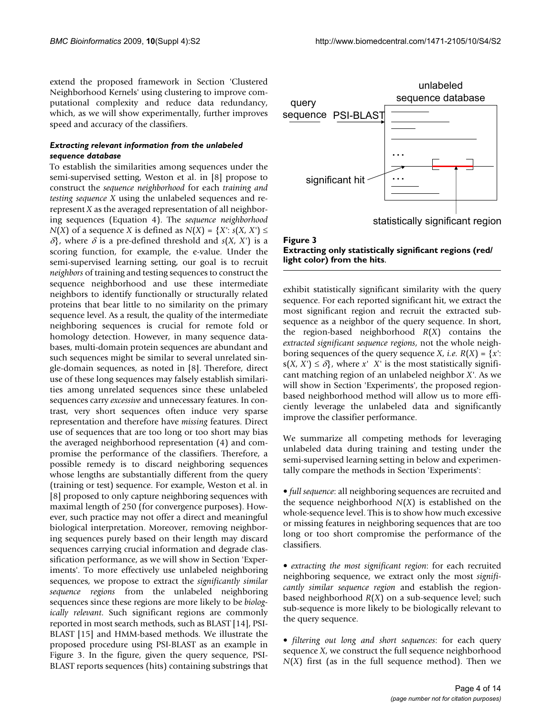extend the proposed framework in Section 'Clustered Neighborhood Kernels' using clustering to improve computational complexity and reduce data redundancy, which, as we will show experimentally, further improves speed and accuracy of the classifiers.

# *Extracting relevant information from the unlabeled sequence database*

To establish the similarities among sequences under the semi-supervised setting, Weston et al. in [8] propose to construct the *sequence neighborhood* for each *training and testing sequence X* using the unlabeled sequences and rerepresent *X* as the averaged representation of all neighboring sequences (Equation 4). The *sequence neighborhood N*(*X*) of a sequence *X* is defined as  $N(X) = \{X : s(X, X') \leq$ δ}, where δ is a pre-defined threshold and *s*(*X*, *X'*) is a scoring function, for example, the e-value. Under the semi-supervised learning setting, our goal is to recruit *neighbors* of training and testing sequences to construct the sequence neighborhood and use these intermediate neighbors to identify functionally or structurally related proteins that bear little to no similarity on the primary sequence level. As a result, the quality of the intermediate neighboring sequences is crucial for remote fold or homology detection. However, in many sequence databases, multi-domain protein sequences are abundant and such sequences might be similar to several unrelated single-domain sequences, as noted in [8]. Therefore, direct use of these long sequences may falsely establish similarities among unrelated sequences since these unlabeled sequences carry *excessive* and unnecessary features. In contrast, very short sequences often induce very sparse representation and therefore have *missing* features. Direct use of sequences that are too long or too short may bias the averaged neighborhood representation (4) and compromise the performance of the classifiers. Therefore, a possible remedy is to discard neighboring sequences whose lengths are substantially different from the query (training or test) sequence. For example, Weston et al. in [8] proposed to only capture neighboring sequences with maximal length of 250 (for convergence purposes). However, such practice may not offer a direct and meaningful biological interpretation. Moreover, removing neighboring sequences purely based on their length may discard sequences carrying crucial information and degrade classification performance, as we will show in Section 'Experiments'. To more effectively use unlabeled neighboring sequences, we propose to extract the *significantly similar sequence regions* from the unlabeled neighboring sequences since these regions are more likely to be *biologically relevant*. Such significant regions are commonly reported in most search methods, such as BLAST [14], PSI-BLAST [15] and HMM-based methods. We illustrate the proposed procedure using PSI-BLAST as an example in Figure 3. In the figure, given the query sequence, PSI-BLAST reports sequences (hits) containing substrings that



statistically significant region



exhibit statistically significant similarity with the query sequence. For each reported significant hit, we extract the most significant region and recruit the extracted subsequence as a neighbor of the query sequence. In short, the region-based neighborhood *R*(*X*) contains the *extracted significant sequence regions*, not the whole neighboring sequences of the query sequence *X*, *i.e.*  $R(X) = \{x' :$  $s(X, X') \leq \delta$ , where x' X' is the most statistically significant matching region of an unlabeled neighbor *X'*. As we will show in Section 'Experiments', the proposed regionbased neighborhood method will allow us to more efficiently leverage the unlabeled data and significantly improve the classifier performance.

We summarize all competing methods for leveraging unlabeled data during training and testing under the semi-supervised learning setting in below and experimentally compare the methods in Section 'Experiments':

• *full sequence*: all neighboring sequences are recruited and the sequence neighborhood *N*(*X*) is established on the whole-sequence level. This is to show how much excessive or missing features in neighboring sequences that are too long or too short compromise the performance of the classifiers.

• *extracting the most significant region*: for each recruited neighboring sequence, we extract only the most *significantly similar sequence region* and establish the regionbased neighborhood *R*(*X*) on a sub-sequence level; such sub-sequence is more likely to be biologically relevant to the query sequence.

• *filtering out long and short sequences*: for each query sequence *X*, we construct the full sequence neighborhood  $N(X)$  first (as in the full sequence method). Then we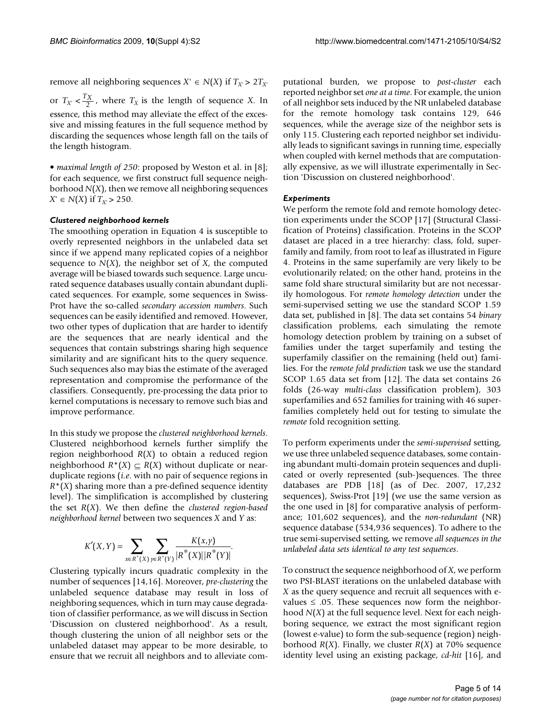remove all neighboring sequences  $X' \in N(X)$  if  $T_X > 2T_X$ 

or  $T_X < \frac{T_X}{2}$ , where  $T_X$  is the length of sequence *X*. In essence, this method may alleviate the effect of the excessive and missing features in the full sequence method by discarding the sequences whose length fall on the tails of the length histogram.

• *maximal length of 250*: proposed by Weston et al. in [8]; for each sequence, we first construct full sequence neighborhood *N*(*X*), then we remove all neighboring sequences  $X' \in N(X)$  if  $T_X > 250$ .

#### *Clustered neighborhood kernels*

The smoothing operation in Equation 4 is susceptible to overly represented neighbors in the unlabeled data set since if we append many replicated copies of a neighbor sequence to *N*(*X*), the neighbor set of *X*, the computed average will be biased towards such sequence. Large uncurated sequence databases usually contain abundant duplicated sequences. For example, some sequences in Swiss-Prot have the so-called *secondary accession numbers*. Such sequences can be easily identified and removed. However, two other types of duplication that are harder to identify are the sequences that are nearly identical and the sequences that contain substrings sharing high sequence similarity and are significant hits to the query sequence. Such sequences also may bias the estimate of the averaged representation and compromise the performance of the classifiers. Consequently, pre-processing the data prior to kernel computations is necessary to remove such bias and improve performance.

In this study we propose the *clustered neighborhood kernels*. Clustered neighborhood kernels further simplify the region neighborhood *R*(*X*) to obtain a reduced region neighborhood  $R^*(X) \subset R(X)$  without duplicate or nearduplicate regions (*i.e*. with no pair of sequence regions in *R*\*(*X*) sharing more than a pre-defined sequence identity level). The simplification is accomplished by clustering the set *R*(*X*). We then define the *clustered region-based neighborhood kernel* between two sequences *X* and *Y* as:

$$
K'(X,Y) = \sum_{x \in R^*(X)} \sum_{y \in R^*(Y)} \frac{K(x,y)}{|R^*(X)||R^*(Y)|}.
$$

Clustering typically incurs quadratic complexity in the number of sequences [14,16]. Moreover, *pre-clustering* the unlabeled sequence database may result in loss of neighboring sequences, which in turn may cause degradation of classifier performance, as we will discuss in Section 'Discussion on clustered neighborhood'. As a result, though clustering the union of all neighbor sets or the unlabeled dataset may appear to be more desirable, to ensure that we recruit all neighbors and to alleviate computational burden, we propose to *post-cluster* each reported neighbor set *one at a time*. For example, the union of all neighbor sets induced by the NR unlabeled database for the remote homology task contains 129, 646 sequences, while the average size of the neighbor sets is only 115. Clustering each reported neighbor set individually leads to significant savings in running time, especially when coupled with kernel methods that are computationally expensive, as we will illustrate experimentally in Section 'Discussion on clustered neighborhood'.

## *Experiments*

We perform the remote fold and remote homology detection experiments under the SCOP [17] (Structural Classification of Proteins) classification. Proteins in the SCOP dataset are placed in a tree hierarchy: class, fold, superfamily and family, from root to leaf as illustrated in Figure 4. Proteins in the same superfamily are very likely to be evolutionarily related; on the other hand, proteins in the same fold share structural similarity but are not necessarily homologous. For *remote homology detection* under the semi-supervised setting we use the standard SCOP 1.59 data set, published in [8]. The data set contains 54 *binary* classification problems, each simulating the remote homology detection problem by training on a subset of families under the target superfamily and testing the superfamily classifier on the remaining (held out) families. For the *remote fold prediction* task we use the standard SCOP 1.65 data set from [12]. The data set contains 26 folds (26-way *multi-class* classification problem), 303 superfamilies and 652 families for training with 46 superfamilies completely held out for testing to simulate the *remote* fold recognition setting.

To perform experiments under the *semi-supervised* setting, we use three unlabeled sequence databases, some containing abundant multi-domain protein sequences and duplicated or overly represented (sub-)sequences. The three databases are PDB [18] (as of Dec. 2007, 17,232 sequences), Swiss-Prot [19] (we use the same version as the one used in [8] for comparative analysis of performance; 101,602 sequences), and the *non-redundant* (NR) sequence database (534,936 sequences). To adhere to the true semi-supervised setting, we remove *all sequences in the unlabeled data sets identical to any test sequences*.

To construct the sequence neighborhood of *X*, we perform two PSI-BLAST iterations on the unlabeled database with *X* as the query sequence and recruit all sequences with evalues  $\leq$  .05. These sequences now form the neighborhood *N*(*X*) at the full sequence level. Next for each neighboring sequence, we extract the most significant region (lowest e-value) to form the sub-sequence (region) neighborhood *R*(*X*). Finally, we cluster *R*(*X*) at 70% sequence identity level using an existing package, *cd-hit* [16], and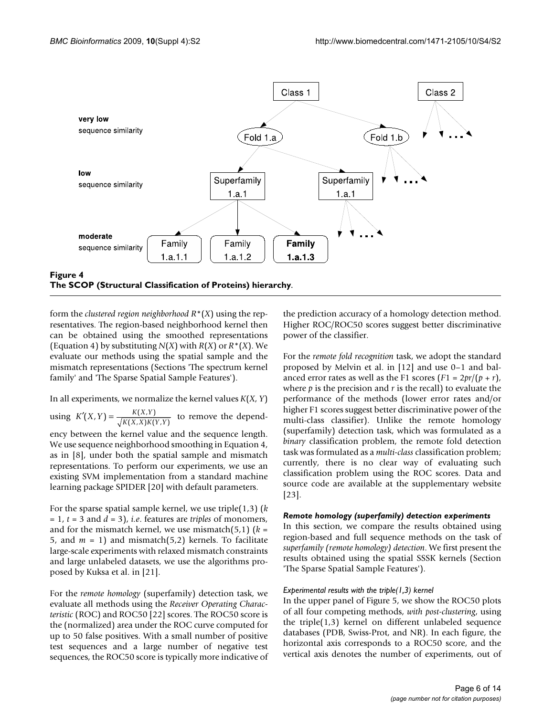

form the *clustered region neighborhood R*\*(*X*) using the representatives. The region-based neighborhood kernel then can be obtained using the smoothed representations (Equation 4) by substituting  $N(X)$  with  $R(X)$  or  $R^*(X)$ . We evaluate our methods using the spatial sample and the mismatch representations (Sections 'The spectrum kernel family' and 'The Sparse Spatial Sample Features').

In all experiments, we normalize the kernel values *K*(*X*, *Y*) using  $K'(X,Y) = \frac{K(X,Y)}{\sqrt{K(X,X)K(Y,Y)}}$  to remove the dependency between the kernel value and the sequence length. We use sequence neighborhood smoothing in Equation 4, as in [8], under both the spatial sample and mismatch representations. To perform our experiments, we use an existing SVM implementation from a standard machine

learning package SPIDER [20] with default parameters.

For the sparse spatial sample kernel, we use triple(1,3) (*k* = 1, *t* = 3 and *d* = 3), *i.e*. features are *triples* of monomers, and for the mismatch kernel, we use mismatch(5,1) (*k* = 5, and *m* = 1) and mismatch(5,2) kernels. To facilitate large-scale experiments with relaxed mismatch constraints and large unlabeled datasets, we use the algorithms proposed by Kuksa et al. in [21].

For the *remote homology* (superfamily) detection task, we evaluate all methods using the *Receiver Operating Characteristic* (ROC) and ROC50 [22] scores. The ROC50 score is the (normalized) area under the ROC curve computed for up to 50 false positives. With a small number of positive test sequences and a large number of negative test sequences, the ROC50 score is typically more indicative of the prediction accuracy of a homology detection method. Higher ROC/ROC50 scores suggest better discriminative power of the classifier.

For the *remote fold recognition* task, we adopt the standard proposed by Melvin et al. in [12] and use 0–1 and balanced error rates as well as the F1 scores  $(F1 = 2pr/(p + r))$ , where  $p$  is the precision and  $r$  is the recall) to evaluate the performance of the methods (lower error rates and/or higher F1 scores suggest better discriminative power of the multi-class classifier). Unlike the remote homology (superfamily) detection task, which was formulated as a *binary* classification problem, the remote fold detection task was formulated as a *multi-class* classification problem; currently, there is no clear way of evaluating such classification problem using the ROC scores. Data and source code are available at the supplementary website [23].

# *Remote homology (superfamily) detection experiments*

In this section, we compare the results obtained using region-based and full sequence methods on the task of *superfamily (remote homology) detection*. We first present the results obtained using the spatial SSSK kernels (Section 'The Sparse Spatial Sample Features').

# *Experimental results with the triple(1,3) kernel*

In the upper panel of Figure 5, we show the ROC50 plots of all four competing methods, *with post-clustering*, using the triple(1,3) kernel on different unlabeled sequence databases (PDB, Swiss-Prot, and NR). In each figure, the horizontal axis corresponds to a ROC50 score, and the vertical axis denotes the number of experiments, out of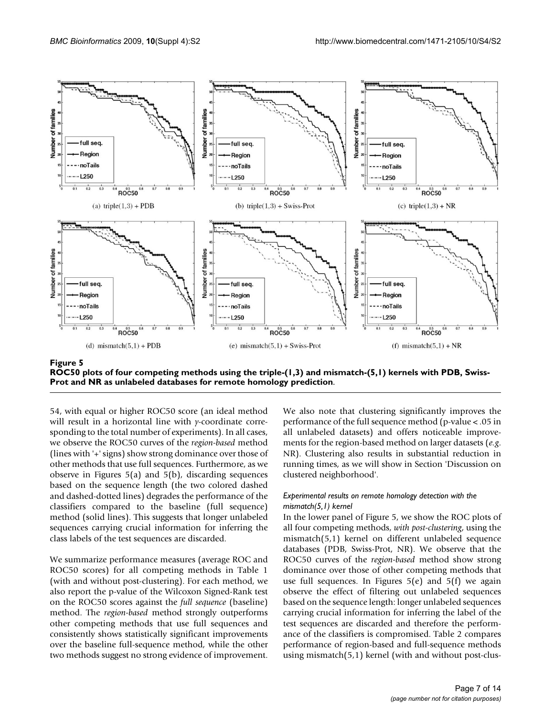

**ROC50 plots of four competing methods using the triple-(1,3) and mismatch-(5,1) kernels with PDB, Swiss-Prot and NR as unlabeled databases for remote homology prediction**.

54, with equal or higher ROC50 score (an ideal method will result in a horizontal line with *y*-coordinate corresponding to the total number of experiments). In all cases, we observe the ROC50 curves of the *region-based* method (lines with '+' signs) show strong dominance over those of other methods that use full sequences. Furthermore, as we observe in Figures 5(a) and 5(b), discarding sequences based on the sequence length (the two colored dashed and dashed-dotted lines) degrades the performance of the classifiers compared to the baseline (full sequence) method (solid lines). This suggests that longer unlabeled sequences carrying crucial information for inferring the class labels of the test sequences are discarded.

We summarize performance measures (average ROC and ROC50 scores) for all competing methods in Table 1 (with and without post-clustering). For each method, we also report the p-value of the Wilcoxon Signed-Rank test on the ROC50 scores against the *full sequence* (baseline) method. The *region-based* method strongly outperforms other competing methods that use full sequences and consistently shows statistically significant improvements over the baseline full-sequence method, while the other two methods suggest no strong evidence of improvement.

We also note that clustering significantly improves the performance of the full sequence method (p-value < .05 in all unlabeled datasets) and offers noticeable improvements for the region-based method on larger datasets (*e.g*. NR). Clustering also results in substantial reduction in running times, as we will show in Section 'Discussion on clustered neighborhood'.

# *Experimental results on remote homology detection with the mismatch(5,1) kernel*

In the lower panel of Figure 5, we show the ROC plots of all four competing methods, *with post-clustering*, using the mismatch(5,1) kernel on different unlabeled sequence databases (PDB, Swiss-Prot, NR). We observe that the ROC50 curves of the *region-based* method show strong dominance over those of other competing methods that use full sequences. In Figures  $5(e)$  and  $5(f)$  we again observe the effect of filtering out unlabeled sequences based on the sequence length: longer unlabeled sequences carrying crucial information for inferring the label of the test sequences are discarded and therefore the performance of the classifiers is compromised. Table 2 compares performance of region-based and full-sequence methods using mismatch(5,1) kernel (with and without post-clus-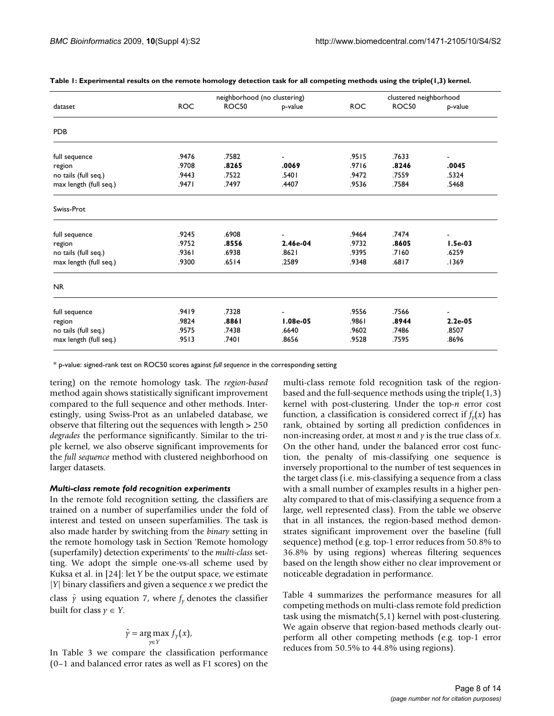|                        |            | neighborhood (no clustering) |            |            | clustered neighborhood |                              |  |
|------------------------|------------|------------------------------|------------|------------|------------------------|------------------------------|--|
| dataset                | <b>ROC</b> | ROC50                        | p-value    | <b>ROC</b> | ROC50                  | p-value                      |  |
| <b>PDB</b>             |            |                              |            |            |                        |                              |  |
| full sequence          | .9476      | .7582                        |            | .9515      | .7633                  | $\qquad \qquad \blacksquare$ |  |
| region                 | .9708      | .8265                        | .0069      | .9716      | .8246                  | .0045                        |  |
| no tails (full seq.)   | .9443      | .7522                        | .5401      | .9472      | .7559                  | .5324                        |  |
| max length (full seq.) | .9471      | .7497                        | .4407      | .9536      | .7584                  | .5468                        |  |
| Swiss-Prot             |            |                              |            |            |                        |                              |  |
| full sequence          | .9245      | .6908                        |            | .9464      | .7474                  |                              |  |
| region                 | .9752      | .8556                        | 2.46e-04   | .9732      | .8605                  | $I.5e-03$                    |  |
| no tails (full seq.)   | .9361      | .6938                        | .8621      | .9395      | .7160                  | .6259                        |  |
| max length (full seq.) | .9300      | .6514                        | .2589      | .9348      | .6817                  | .1369                        |  |
| <b>NR</b>              |            |                              |            |            |                        |                              |  |
| full sequence          | .9419      | .7328                        |            | .9556      | .7566                  |                              |  |
| region                 | .9824      | .8861                        | $1.08e-05$ | .9861      | .8944                  | $2.2e-05$                    |  |
| no tails (full seq.)   | .9575      | .7438                        | .6640      | .9602      | .7486                  | .8507                        |  |
| max length (full seq.) | .9513      | .7401                        | .8656      | .9528      | .7595                  | .8696                        |  |

**Table 1: Experimental results on the remote homology detection task for all competing methods using the triple(1,3) kernel.**

\* p-value: signed-rank test on ROC50 scores against *full sequence* in the corresponding setting

tering) on the remote homology task. The *region-based* method again shows statistically significant improvement compared to the full sequence and other methods. Interestingly, using Swiss-Prot as an unlabeled database, we observe that filtering out the sequences with length > 250 *degrades* the performance significantly. Similar to the triple kernel, we also observe significant improvements for the *full sequence* method with clustered neighborhood on larger datasets.

# *Multi-class remote fold recognition experiments*

In the remote fold recognition setting, the classifiers are trained on a number of superfamilies under the fold of interest and tested on unseen superfamilies. The task is also made harder by switching from the *binary* setting in the remote homology task in Section 'Remote homology (superfamily) detection experiments' to the *multi-class* setting. We adopt the simple one-vs-all scheme used by Kuksa et al. in [24]: let *Y* be the output space, we estimate |*Y*| binary classifiers and given a sequence *x* we predict the class  $\hat{y}$  using equation 7, where  $f_y$  denotes the classifier built for class  $y \in Y$ .

$$
\hat{\gamma} = \arg\max_{\gamma \in Y} f_{\gamma}(x),
$$

In Table 3 we compare the classification performance (0–1 and balanced error rates as well as F1 scores) on the multi-class remote fold recognition task of the regionbased and the full-sequence methods using the triple(1,3) kernel with post-clustering. Under the top-*n* error cost function, a classification is considered correct if  $f_{\nu}(x)$  has rank, obtained by sorting all prediction confidences in non-increasing order, at most *n* and *y* is the true class of *x*. On the other hand, under the balanced error cost function, the penalty of mis-classifying one sequence is inversely proportional to the number of test sequences in the target class (i.e. mis-classifying a sequence from a class with a small number of examples results in a higher penalty compared to that of mis-classifying a sequence from a large, well represented class). From the table we observe that in all instances, the region-based method demonstrates significant improvement over the baseline (full sequence) method (e.g. top-1 error reduces from 50.8% to 36.8% by using regions) whereas filtering sequences based on the length show either no clear improvement or noticeable degradation in performance.

Table 4 summarizes the performance measures for all competing methods on multi-class remote fold prediction task using the mismatch(5,1) kernel with post-clustering. We again observe that region-based methods clearly outperform all other competing methods (e.g. top-1 error reduces from 50.5% to 44.8% using regions).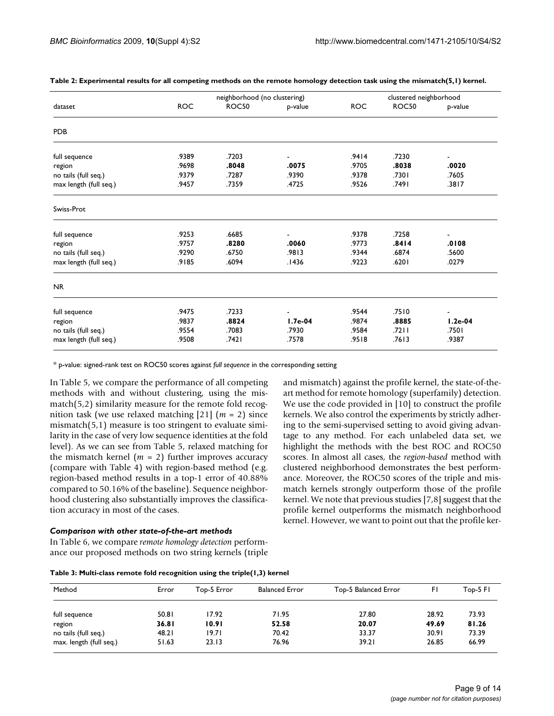|                        |            | neighborhood (no clustering) |           |            | clustered neighborhood |                |
|------------------------|------------|------------------------------|-----------|------------|------------------------|----------------|
| dataset                | <b>ROC</b> | ROC50                        | p-value   | <b>ROC</b> | ROC50                  | p-value        |
| <b>PDB</b>             |            |                              |           |            |                        |                |
| full sequence          | .9389      | .7203                        |           | .9414      | .7230                  | $\blacksquare$ |
| region                 | .9698      | .8048                        | .0075     | .9705      | .8038                  | .0020          |
| no tails (full seq.)   | .9379      | .7287                        | .9390     | .9378      | .7301                  | .7605          |
| max length (full seq.) | .9457      | .7359                        | .4725     | .9526      | ا 749.                 | .3817          |
| Swiss-Prot             |            |                              |           |            |                        |                |
| full sequence          | .9253      | .6685                        |           | .9378      | .7258                  | $\frac{1}{2}$  |
| region                 | .9757      | .8280                        | .0060     | .9773      | .8414                  | .0108          |
| no tails (full seq.)   | .9290      | .6750                        | .9813     | .9344      | .6874                  | .5600          |
| max length (full seq.) | .9185      | .6094                        | .1436     | .9223      | .6201                  | .0279          |
| <b>NR</b>              |            |                              |           |            |                        |                |
| full sequence          | .9475      | .7233                        |           | .9544      | .7510                  |                |
| region                 | .9837      | .8824                        | $1.7e-04$ | .9874      | .8885                  | $1.2e-04$      |
| no tails (full seq.)   | .9554      | .7083                        | .7930     | .9584      | .7211                  | .7501          |
| max length (full seq.) | .9508      | .7421                        | .7578     | .9518      | .7613                  | .9387          |

|  |  |  | Table 2: Experimental results for all competing methods on the remote homology detection task using the mismatch(5,1) kernel. |
|--|--|--|-------------------------------------------------------------------------------------------------------------------------------|
|--|--|--|-------------------------------------------------------------------------------------------------------------------------------|

\* p-value: signed-rank test on ROC50 scores against *full sequence* in the corresponding setting

In Table 5, we compare the performance of all competing methods with and without clustering, using the mismatch(5,2) similarity measure for the remote fold recognition task (we use relaxed matching [21] (*m* = 2) since mismatch(5,1) measure is too stringent to evaluate similarity in the case of very low sequence identities at the fold level). As we can see from Table 5, relaxed matching for the mismatch kernel  $(m = 2)$  further improves accuracy (compare with Table 4) with region-based method (e.g. region-based method results in a top-1 error of 40.88% compared to 50.16% of the baseline). Sequence neighborhood clustering also substantially improves the classification accuracy in most of the cases.

#### *Comparison with other state-of-the-art methods*

In Table 6, we compare *remote homology detection* performance our proposed methods on two string kernels (triple and mismatch) against the profile kernel, the state-of-theart method for remote homology (superfamily) detection. We use the code provided in [10] to construct the profile kernels. We also control the experiments by strictly adhering to the semi-supervised setting to avoid giving advantage to any method. For each unlabeled data set, we highlight the methods with the best ROC and ROC50 scores. In almost all cases, the *region-based* method with clustered neighborhood demonstrates the best performance. Moreover, the ROC50 scores of the triple and mismatch kernels strongly outperform those of the profile kernel. We note that previous studies [7,8] suggest that the profile kernel outperforms the mismatch neighborhood kernel. However, we want to point out that the profile ker-

#### **Table 3: Multi-class remote fold recognition using the triple(1,3) kernel**

| Method                  | Error | Top-5 Error | <b>Balanced Error</b> | Top-5 Balanced Error | FΙ    | Top-5 FI |
|-------------------------|-------|-------------|-----------------------|----------------------|-------|----------|
| full sequence           | 50.81 | 17.92       | 71.95                 | 27.80                | 28.92 | 73.93    |
| region                  | 36.81 | 10.91       | 52.58                 | 20.07                | 49.69 | 81.26    |
| no tails (full seq.)    | 48.21 | 19.71       | 70.42                 | 33.37                | 30.91 | 73.39    |
| max. length (full seq.) | 51.63 | 23.13       | 76.96                 | 39.21                | 26.85 | 66.99    |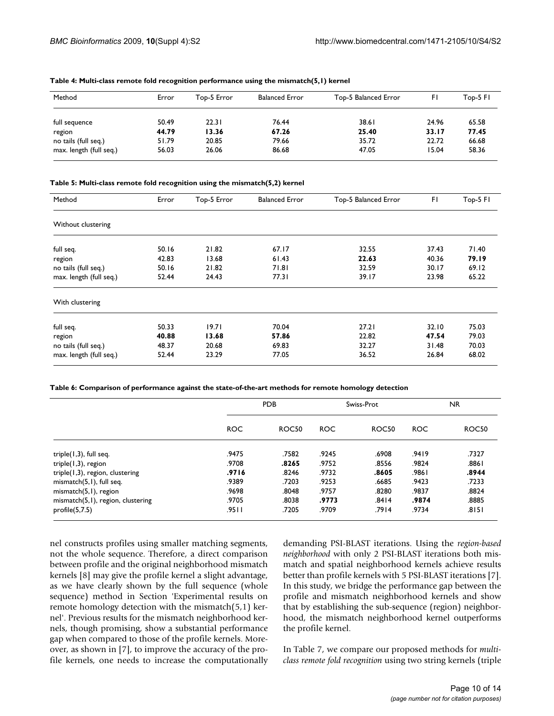| Method                  | Error | Top-5 Error | <b>Balanced Error</b> | Top-5 Balanced Error | FI    | Top-5 FI |
|-------------------------|-------|-------------|-----------------------|----------------------|-------|----------|
|                         |       |             |                       |                      |       |          |
| full sequence           | 50.49 | 22.31       | 76.44                 | 38.61                | 24.96 | 65.58    |
| region                  | 44.79 | 13.36       | 67.26                 | 25.40                | 33.17 | 77.45    |
| no tails (full seq.)    | 51.79 | 20.85       | 79.66                 | 35.72                | 22.72 | 66.68    |
| max. length (full seq.) | 56.03 | 26.06       | 86.68                 | 47.05                | 15.04 | 58.36    |

**Table 4: Multi-class remote fold recognition performance using the mismatch(5,1) kernel**

#### **Table 5: Multi-class remote fold recognition using the mismatch(5,2) kernel**

| Method                  | Error | Top-5 Error | <b>Balanced Error</b> | Top-5 Balanced Error | FI.   | Top-5 FI |
|-------------------------|-------|-------------|-----------------------|----------------------|-------|----------|
| Without clustering      |       |             |                       |                      |       |          |
| full seq.               | 50.16 | 21.82       | 67.17                 | 32.55                | 37.43 | 71.40    |
| region                  | 42.83 | 13.68       | 61.43                 | 22.63                | 40.36 | 79.19    |
| no tails (full seq.)    | 50.16 | 21.82       | 71.81                 | 32.59                | 30.17 | 69.12    |
| max. length (full seq.) | 52.44 | 24.43       | 77.31                 | 39.17                | 23.98 | 65.22    |
| With clustering         |       |             |                       |                      |       |          |
| full seq.               | 50.33 | 19.71       | 70.04                 | 27.21                | 32.10 | 75.03    |
| region                  | 40.88 | 13.68       | 57.86                 | 22.82                | 47.54 | 79.03    |
| no tails (full seq.)    | 48.37 | 20.68       | 69.83                 | 32.27                | 31.48 | 70.03    |
| max. length (full seq.) | 52.44 | 23.29       | 77.05                 | 36.52                | 26.84 | 68.02    |

**Table 6: Comparison of performance against the state-of-the-art methods for remote homology detection**

|                                     | <b>PDB</b> |                   | Swiss-Prot |                   | NR.        |       |
|-------------------------------------|------------|-------------------|------------|-------------------|------------|-------|
|                                     | <b>ROC</b> | ROC <sub>50</sub> | <b>ROC</b> | ROC <sub>50</sub> | <b>ROC</b> | ROC50 |
| triple $(1,3)$ , full seq.          | .9475      | .7582             | .9245      | .6908             | .9419      | .7327 |
| triple $(1,3)$ , region             | .9708      | .8265             | .9752      | .8556             | .9824      | .8861 |
| triple $(1,3)$ , region, clustering | .9716      | .8246             | .9732      | .8605             | .9861      | .8944 |
| mismatch(5,1), full seq.            | .9389      | .7203             | .9253      | .6685             | .9423      | .7233 |
| $mismatch(5,1)$ , region            | .9698      | .8048             | .9757      | .8280             | .9837      | .8824 |
| mismatch(5,1), region, clustering   | .9705      | .8038             | .9773      | .8414             | .9874      | .8885 |
| profile(5,7.5)                      | .9511      | .7205             | .9709      | .7914             | .9734      | .8151 |

nel constructs profiles using smaller matching segments, not the whole sequence. Therefore, a direct comparison between profile and the original neighborhood mismatch kernels [8] may give the profile kernel a slight advantage, as we have clearly shown by the full sequence (whole sequence) method in Section 'Experimental results on remote homology detection with the mismatch(5,1) kernel'. Previous results for the mismatch neighborhood kernels, though promising, show a substantial performance gap when compared to those of the profile kernels. Moreover, as shown in [7], to improve the accuracy of the profile kernels, one needs to increase the computationally demanding PSI-BLAST iterations. Using the *region-based neighborhood* with only 2 PSI-BLAST iterations both mismatch and spatial neighborhood kernels achieve results better than profile kernels with 5 PSI-BLAST iterations [7]. In this study, we bridge the performance gap between the profile and mismatch neighborhood kernels and show that by establishing the sub-sequence (region) neighborhood, the mismatch neighborhood kernel outperforms the profile kernel.

In Table 7, we compare our proposed methods for *multiclass remote fold recognition* using two string kernels (triple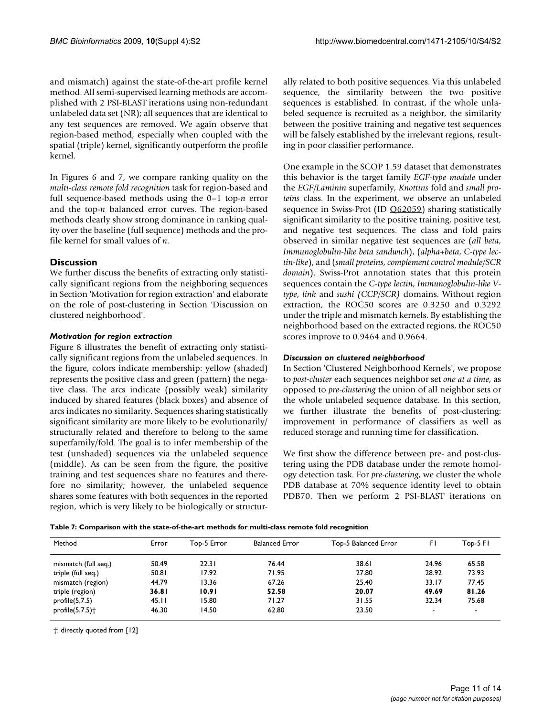and mismatch) against the state-of-the-art profile kernel method. All semi-supervised learning methods are accomplished with 2 PSI-BLAST iterations using non-redundant unlabeled data set (NR); all sequences that are identical to any test sequences are removed. We again observe that region-based method, especially when coupled with the spatial (triple) kernel, significantly outperform the profile kernel.

In Figures 6 and 7, we compare ranking quality on the *multi-class remote fold recognition* task for region-based and full sequence-based methods using the 0–1 top-*n* error and the top-*n* balanced error curves. The region-based methods clearly show strong dominance in ranking quality over the baseline (full sequence) methods and the profile kernel for small values of *n*.

# **Discussion**

We further discuss the benefits of extracting only statistically significant regions from the neighboring sequences in Section 'Motivation for region extraction' and elaborate on the role of post-clustering in Section 'Discussion on clustered neighborhood'.

# *Motivation for region extraction*

Figure 8 illustrates the benefit of extracting only statistically significant regions from the unlabeled sequences. In the figure, colors indicate membership: yellow (shaded) represents the positive class and green (pattern) the negative class. The arcs indicate (possibly weak) similarity induced by shared features (black boxes) and absence of arcs indicates no similarity. Sequences sharing statistically significant similarity are more likely to be evolutionarily/ structurally related and therefore to belong to the same superfamily/fold. The goal is to infer membership of the test (unshaded) sequences via the unlabeled sequence (middle). As can be seen from the figure, the positive training and test sequences share no features and therefore no similarity; however, the unlabeled sequence shares some features with both sequences in the reported region, which is very likely to be biologically or structurally related to both positive sequences. Via this unlabeled sequence, the similarity between the two positive sequences is established. In contrast, if the whole unlabeled sequence is recruited as a neighbor, the similarity between the positive training and negative test sequences will be falsely established by the irrelevant regions, resulting in poor classifier performance.

One example in the SCOP 1.59 dataset that demonstrates this behavior is the target family *EGF-type module* under the *EGF/Laminin* superfamily, *Knottins* fold and *small proteins* class. In the experiment, we observe an unlabeled sequence in Swiss-Prot (ID O62059) sharing statistically significant similarity to the positive training, positive test, and negative test sequences. The class and fold pairs observed in similar negative test sequences are (*all beta*, *Immunoglobulin-like beta sandwich*), (*alpha+beta*, *C-type lectin-like*), and (*small proteins*, *complement control module/SCR domain*). Swiss-Prot annotation states that this protein sequences contain the *C-type lectin*, *Immunoglobulin-like Vtype*, *link* and *sushi (CCP/SCR)* domains. Without region extraction, the ROC50 scores are 0.3250 and 0.3292 under the triple and mismatch kernels. By establishing the neighborhood based on the extracted regions, the ROC50 scores improve to 0.9464 and 0.9664.

# *Discussion on clustered neighborhood*

In Section 'Clustered Neighborhood Kernels', we propose to *post-cluster* each sequences neighbor set *one at a time*, as opposed to *pre-clustering* the union of all neighbor sets or the whole unlabeled sequence database. In this section, we further illustrate the benefits of post-clustering: improvement in performance of classifiers as well as reduced storage and running time for classification.

We first show the difference between pre- and post-clustering using the PDB database under the remote homology detection task. For *pre-clustering*, we cluster the whole PDB database at 70% sequence identity level to obtain PDB70. Then we perform 2 PSI-BLAST iterations on

|  | Table 7: Comparison with the state-of-the-art methods for multi-class remote fold recognition |  |  |
|--|-----------------------------------------------------------------------------------------------|--|--|
|--|-----------------------------------------------------------------------------------------------|--|--|

| Method                        | Error | Top-5 Error | <b>Balanced Error</b> | Top-5 Balanced Error | FI    | Top-5 FI                 |
|-------------------------------|-------|-------------|-----------------------|----------------------|-------|--------------------------|
| mismatch (full seq.)          | 50.49 | 22.31       | 76.44                 | 38.61                | 24.96 | 65.58                    |
| triple (full seq.)            | 50.81 | 17.92       | 71.95                 | 27.80                | 28.92 | 73.93                    |
| mismatch (region)             | 44.79 | 13.36       | 67.26                 | 25.40                | 33.17 | 77.45                    |
| triple (region)               | 36.81 | 10.91       | 52.58                 | 20.07                | 49.69 | 81.26                    |
| profile(5,7.5)                | 45.11 | 15.80       | 71.27                 | 31.55                | 32.34 | 75.68                    |
| $profile(5,7.5)$ <sup>+</sup> | 46.30 | 14.50       | 62.80                 | 23.50                | $\,$  | $\overline{\phantom{a}}$ |

†: directly quoted from [12]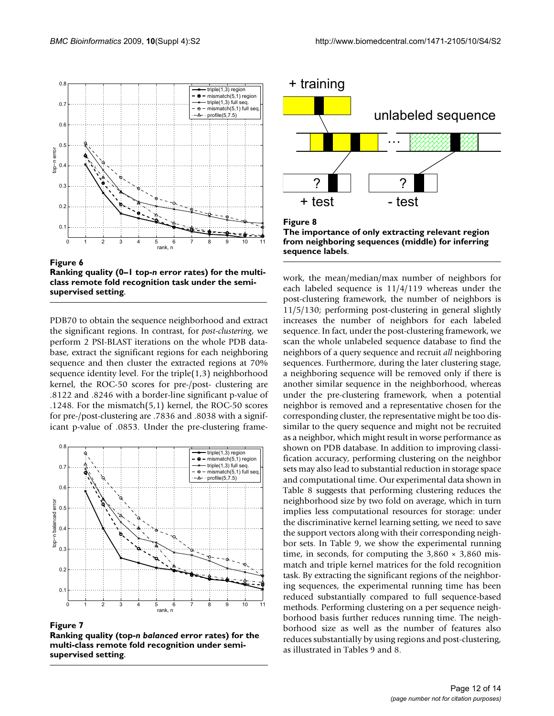

Figure 6 **Ranking quality (0–1 top-***n* **error rates) for the multiclass remote fold recognition task under the semisupervised setting**.

PDB70 to obtain the sequence neighborhood and extract the significant regions. In contrast, for *post-clustering*, we perform 2 PSI-BLAST iterations on the whole PDB database, extract the significant regions for each neighboring sequence and then cluster the extracted regions at 70% sequence identity level. For the triple(1,3) neighborhood kernel, the ROC-50 scores for pre-/post- clustering are .8122 and .8246 with a border-line significant p-value of .1248. For the mismatch(5,1) kernel, the ROC-50 scores for pre-/post-clustering are .7836 and .8038 with a significant p-value of .0853. Under the pre-clustering frame-



Figure 7

**Ranking quality (top-***n balanced* **error rates) for the multi-class remote fold recognition under semisupervised setting**.



work, the mean/median/max number of neighbors for each labeled sequence is 11/4/119 whereas under the post-clustering framework, the number of neighbors is 11/5/130; performing post-clustering in general slightly increases the number of neighbors for each labeled sequence. In fact, under the post-clustering framework, we scan the whole unlabeled sequence database to find the neighbors of a query sequence and recruit *all* neighboring sequences. Furthermore, during the later clustering stage, a neighboring sequence will be removed only if there is another similar sequence in the neighborhood, whereas under the pre-clustering framework, when a potential neighbor is removed and a representative chosen for the corresponding cluster, the representative might be too dissimilar to the query sequence and might not be recruited as a neighbor, which might result in worse performance as shown on PDB database. In addition to improving classification accuracy, performing clustering on the neighbor sets may also lead to substantial reduction in storage space and computational time. Our experimental data shown in Table 8 suggests that performing clustering reduces the neighborhood size by two fold on average, which in turn implies less computational resources for storage: under the discriminative kernel learning setting, we need to save the support vectors along with their corresponding neighbor sets. In Table 9, we show the experimental running time, in seconds, for computing the  $3,860 \times 3,860$  mismatch and triple kernel matrices for the fold recognition task. By extracting the significant regions of the neighboring sequences, the experimental running time has been reduced substantially compared to full sequence-based methods. Performing clustering on a per sequence neighborhood basis further reduces running time. The neighborhood size as well as the number of features also reduces substantially by using regions and post-clustering, as illustrated in Tables 9 and 8.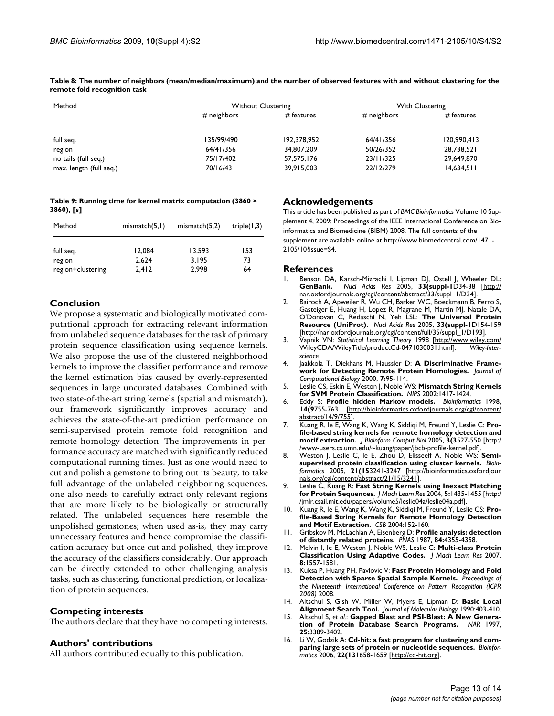| Method                  |               | <b>Without Clustering</b> | With Clustering |             |  |
|-------------------------|---------------|---------------------------|-----------------|-------------|--|
|                         | $#$ neighbors | # features                | $#$ neighbors   | # features  |  |
| full seq.               | 135/99/490    | 192,378,952               | 64/41/356       | 120,990,413 |  |
| region                  | 64/41/356     | 34,807,209                | 50/26/352       | 28,738,521  |  |
| no tails (full seq.)    | 75/17/402     | 57,575,176                | 23/11/325       | 29,649,870  |  |
| max. length (full seq.) | 70/16/431     | 39.915.003                | 22/12/279       | 14,634,511  |  |

**Table 8: The number of neighbors (mean/median/maximum) and the number of observed features with and without clustering for the remote fold recognition task**

**Table 9: Running time for kernel matrix computation (3860 × 3860), [s]**

| Method            | mismatch(5, l) | mismatch(5,2) | triple $(1,3)$ |
|-------------------|----------------|---------------|----------------|
| full seq.         | 12,084         | 13,593        | 153            |
| region            | 2,624          | 3,195         | 73             |
| region+clustering | 2,412          | 2.998         | 64             |

# **Conclusion**

We propose a systematic and biologically motivated computational approach for extracting relevant information from unlabeled sequence databases for the task of primary protein sequence classification using sequence kernels. We also propose the use of the clustered neighborhood kernels to improve the classifier performance and remove the kernel estimation bias caused by overly-represented sequences in large uncurated databases. Combined with two state-of-the-art string kernels (spatial and mismatch), our framework significantly improves accuracy and achieves the state-of-the-art prediction performance on semi-supervised protein remote fold recognition and remote homology detection. The improvements in performance accuracy are matched with significantly reduced computational running times. Just as one would need to cut and polish a gemstone to bring out its beauty, to take full advantage of the unlabeled neighboring sequences, one also needs to carefully extract only relevant regions that are more likely to be biologically or structurally related. The unlabeled sequences here resemble the unpolished gemstones; when used as-is, they may carry unnecessary features and hence compromise the classification accuracy but once cut and polished, they improve the accuracy of the classifiers considerably. Our approach can be directly extended to other challenging analysis tasks, such as clustering, functional prediction, or localization of protein sequences.

# **Competing interests**

The authors declare that they have no competing interests.

#### **Authors' contributions**

All authors contributed equally to this publication.

## **Acknowledgements**

This article has been published as part of *BMC Bioinformatics* Volume 10 Supplement 4, 2009: Proceedings of the IEEE International Conference on Bioinformatics and Biomedicine (BIBM) 2008. The full contents of the supplement are available online at [http://www.biomedcentral.com/1471-](http://www.biomedcentral.com/1471-2105/10?issue=S4) [2105/10?issue=S4](http://www.biomedcentral.com/1471-2105/10?issue=S4).

#### **References**

- Benson DA, Karsch-Mizrachi I, Lipman DJ, Ostell J, Wheeler DL: **GenBank.** *Nucl Acids Res* 2005, **33(suppl-1**D34-38 [\[http://](http://nar.oxfordjournals.org/cgi/content/abstract/33/suppl_1/D34) [nar.oxfordjournals.org/cgi/content/abstract/33/suppl\\_1/D34\]](http://nar.oxfordjournals.org/cgi/content/abstract/33/suppl_1/D34).
- 2. Bairoch A, Apweiler R, Wu CH, Barker WC, Boeckmann B, Ferro S, Gasteiger E, Huang H, Lopez R, Magrane M, Martin MJ, Natale DA, O'Donovan C, Redaschi N, Yeh LSL: **The Universal Protein Resource (UniProt).** *Nucl Acids Res* 2005, **33(suppl-1**D154-159 [[http://nar.oxfordjournals.org/cgi/content/full/35/suppl\\_1/D193\]](http://nar.oxfordjournals.org/cgi/content/full/35/suppl_1/D193).
- 3. Vapnik VN: *Statistical Learning Theory* 1998 [[http://www.wiley.com/](http://www.wiley.com/WileyCDA/WileyTitle/productCd-0471030031.html) [WileyCDA/WileyTitle/productCd-0471030031.html](http://www.wiley.com/WileyCDA/WileyTitle/productCd-0471030031.html)]. *Wiley-Interscience*
- 4. Jaakkola T, Diekhans M, Haussler D: **[A Discriminative Frame](http://www.ncbi.nlm.nih.gov/entrez/query.fcgi?cmd=Retrieve&db=PubMed&dopt=Abstract&list_uids=10890390)[work for Detecting Remote Protein Homologies.](http://www.ncbi.nlm.nih.gov/entrez/query.fcgi?cmd=Retrieve&db=PubMed&dopt=Abstract&list_uids=10890390)** *Journal of Computational Biology* 2000, **7:**95-114.
- 5. Leslie CS, Eskin E, Weston J, Noble WS: **Mismatch String Kernels for SVM Protein Classification.** *NIPS* 2002:1417-1424.
- 6. Eddy S: **[Profile hidden Markov models.](http://www.ncbi.nlm.nih.gov/entrez/query.fcgi?cmd=Retrieve&db=PubMed&dopt=Abstract&list_uids=9918945)** *Bioinformatics* 1998, **14(9**755-763 [[http://bioinformatics.oxfordjournals.org/cgi/content/](http://bioinformatics.oxfordjournals.org/cgi/content/abstract/14/9/755) [abstract/14/9/755\]](http://bioinformatics.oxfordjournals.org/cgi/content/abstract/14/9/755).
- 7. Kuang R, Ie E, Wang K, Wang K, Siddiqi M, Freund Y, Leslie C: **[Pro](http://www.ncbi.nlm.nih.gov/entrez/query.fcgi?cmd=Retrieve&db=PubMed&dopt=Abstract&list_uids=16108083)[file-based string kernels for remote homology detection and](http://www.ncbi.nlm.nih.gov/entrez/query.fcgi?cmd=Retrieve&db=PubMed&dopt=Abstract&list_uids=16108083) [motif extraction.](http://www.ncbi.nlm.nih.gov/entrez/query.fcgi?cmd=Retrieve&db=PubMed&dopt=Abstract&list_uids=16108083)** *J Bioinform Comput Biol* 2005, **3(3**527-550 [[http:/](http://www-users.cs.umn.edu/~kuang/paper/jbcb-profile-kernel.pdf) [/www-users.cs.umn.edu/~kuang/paper/jbcb-profile-kernel.pdf](http://www-users.cs.umn.edu/~kuang/paper/jbcb-profile-kernel.pdf)].
- 8. Weston J, Leslie C, Ie E, Zhou D, Elisseeff A, Noble WS: **[Semi](http://www.ncbi.nlm.nih.gov/entrez/query.fcgi?cmd=Retrieve&db=PubMed&dopt=Abstract&list_uids=15905279)[supervised protein classification using cluster kernels.](http://www.ncbi.nlm.nih.gov/entrez/query.fcgi?cmd=Retrieve&db=PubMed&dopt=Abstract&list_uids=15905279)** *Bioinformatics* 2005, **21(15**3241-3247 [\[http://bioinformatics.oxfordjour](http://bioinformatics.oxfordjournals.org/cgi/content/abstract/21/15/3241) [nals.org/cgi/content/abstract/21/15/3241](http://bioinformatics.oxfordjournals.org/cgi/content/abstract/21/15/3241)].
- 9. Leslie C, Kuang R: **Fast String Kernels using Inexact Matching for Protein Sequences.** *J Mach Learn Res* 2004, **5:**1435-1455 [[http:/](http://jmlr.csail.mit.edu/papers/volume5/leslie04a/leslie04a.pdf) [/jmlr.csail.mit.edu/papers/volume5/leslie04a/leslie04a.pdf](http://jmlr.csail.mit.edu/papers/volume5/leslie04a/leslie04a.pdf)].
- 10. Kuang R, Ie E, Wang K, Wang K, Siddiqi M, Freund Y, Leslie CS: **Profile-Based String Kernels for Remote Homology Detection and Motif Extraction.** *CSB* 2004:152-160.
- 11. Gribskov M, McLachlan A, Eisenberg D: **[Profile analysis: detection](http://www.ncbi.nlm.nih.gov/entrez/query.fcgi?cmd=Retrieve&db=PubMed&dopt=Abstract&list_uids=3474607) [of distantly related proteins.](http://www.ncbi.nlm.nih.gov/entrez/query.fcgi?cmd=Retrieve&db=PubMed&dopt=Abstract&list_uids=3474607)** *PNAS* 1987, **84:**4355-4358.
- 12. Melvin I, Ie E, Weston J, Noble WS, Leslie C: **Multi-class Protein Classification Using Adaptive Codes.** *J Mach Learn Res* 2007, **8:**1557-1581.
- 13. Kuksa P, Huang PH, Pavlovic V: **Fast Protein Homology and Fold Detection with Sparse Spatial Sample Kernels.** *Proceedings of the Nineteenth International Conference on Pattern Recognition (ICPR 2008)* 2008.
- 14. Altschul S, Gish W, Miller W, Myers E, Lipman D: **[Basic Local](http://www.ncbi.nlm.nih.gov/entrez/query.fcgi?cmd=Retrieve&db=PubMed&dopt=Abstract&list_uids=2231712) [Alignment Search Tool.](http://www.ncbi.nlm.nih.gov/entrez/query.fcgi?cmd=Retrieve&db=PubMed&dopt=Abstract&list_uids=2231712)** *Journal of Molecular Biology* 1990:403-410.
- 15. Altschul S, *et al.*: **[Gapped Blast and PSI-Blast: A New Genera](http://www.ncbi.nlm.nih.gov/entrez/query.fcgi?cmd=Retrieve&db=PubMed&dopt=Abstract&list_uids=9254694)[tion of Protein Database Search Programs.](http://www.ncbi.nlm.nih.gov/entrez/query.fcgi?cmd=Retrieve&db=PubMed&dopt=Abstract&list_uids=9254694)** *NAR* 1997, **25:**3389-3402.
- 16. Li W, Godzik A: **[Cd-hit: a fast program for clustering and com](http://www.ncbi.nlm.nih.gov/entrez/query.fcgi?cmd=Retrieve&db=PubMed&dopt=Abstract&list_uids=16731699)[paring large sets of protein or nucleotide sequences.](http://www.ncbi.nlm.nih.gov/entrez/query.fcgi?cmd=Retrieve&db=PubMed&dopt=Abstract&list_uids=16731699)** *Bioinformatics* 2006, **22(13**1658-1659 [[http://cd-hit.org\]](http://cd-hit.org).